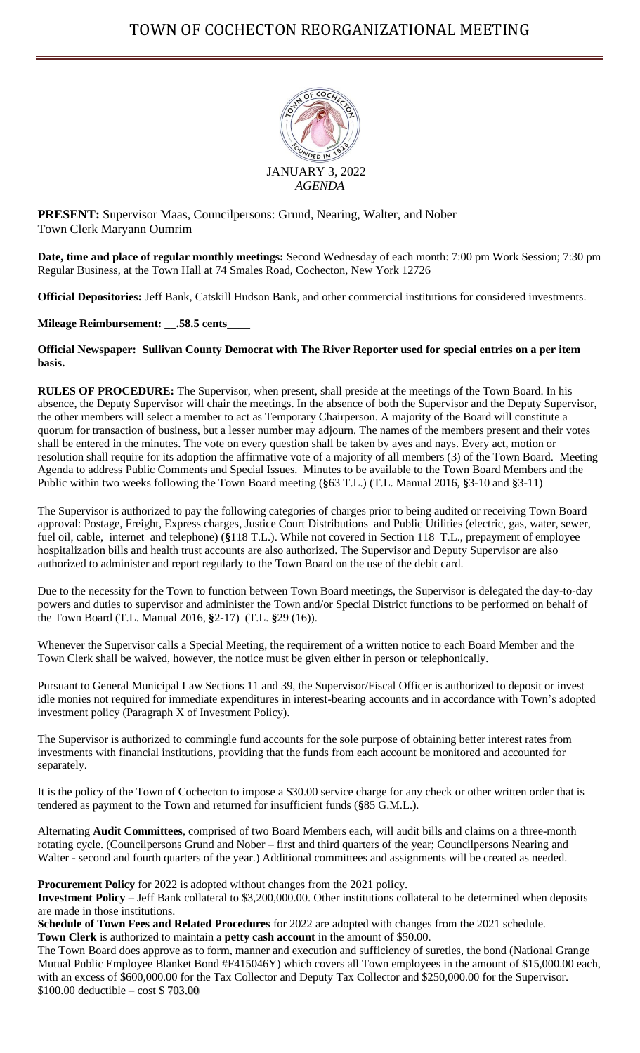

**PRESENT:** Supervisor Maas, Councilpersons: Grund, Nearing, Walter, and Nober Town Clerk Maryann Oumrim

**Date, time and place of regular monthly meetings:** Second Wednesday of each month: 7:00 pm Work Session; 7:30 pm Regular Business, at the Town Hall at 74 Smales Road, Cochecton, New York 12726

**Official Depositories:** Jeff Bank, Catskill Hudson Bank, and other commercial institutions for considered investments.

**Mileage Reimbursement: \_\_.58.5 cents\_\_\_\_**

**Official Newspaper: Sullivan County Democrat with The River Reporter used for special entries on a per item basis.**

**RULES OF PROCEDURE:** The Supervisor, when present, shall preside at the meetings of the Town Board. In his absence, the Deputy Supervisor will chair the meetings. In the absence of both the Supervisor and the Deputy Supervisor, the other members will select a member to act as Temporary Chairperson. A majority of the Board will constitute a quorum for transaction of business, but a lesser number may adjourn. The names of the members present and their votes shall be entered in the minutes. The vote on every question shall be taken by ayes and nays. Every act, motion or resolution shall require for its adoption the affirmative vote of a majority of all members (3) of the Town Board. Meeting Agenda to address Public Comments and Special Issues. Minutes to be available to the Town Board Members and the Public within two weeks following the Town Board meeting (**§**63 T.L.) (T.L. Manual 2016, **§**3-10 and **§**3-11)

The Supervisor is authorized to pay the following categories of charges prior to being audited or receiving Town Board approval: Postage, Freight, Express charges, Justice Court Distributions and Public Utilities (electric, gas, water, sewer, fuel oil, cable, internet and telephone) (**§**118 T.L.). While not covered in Section 118 T.L., prepayment of employee hospitalization bills and health trust accounts are also authorized. The Supervisor and Deputy Supervisor are also authorized to administer and report regularly to the Town Board on the use of the debit card.

Due to the necessity for the Town to function between Town Board meetings, the Supervisor is delegated the day-to-day powers and duties to supervisor and administer the Town and/or Special District functions to be performed on behalf of the Town Board (T.L. Manual 2016, **§**2-17) (T.L. **§**29 (16)).

Whenever the Supervisor calls a Special Meeting, the requirement of a written notice to each Board Member and the Town Clerk shall be waived, however, the notice must be given either in person or telephonically.

Pursuant to General Municipal Law Sections 11 and 39, the Supervisor/Fiscal Officer is authorized to deposit or invest idle monies not required for immediate expenditures in interest-bearing accounts and in accordance with Town's adopted investment policy (Paragraph X of Investment Policy).

The Supervisor is authorized to commingle fund accounts for the sole purpose of obtaining better interest rates from investments with financial institutions, providing that the funds from each account be monitored and accounted for separately.

It is the policy of the Town of Cochecton to impose a \$30.00 service charge for any check or other written order that is tendered as payment to the Town and returned for insufficient funds (**§**85 G.M.L.).

Alternating **Audit Committees**, comprised of two Board Members each, will audit bills and claims on a three-month rotating cycle. (Councilpersons Grund and Nober – first and third quarters of the year; Councilpersons Nearing and Walter - second and fourth quarters of the year.) Additional committees and assignments will be created as needed.

**Procurement Policy** for 2022 is adopted without changes from the 2021 policy.

**Investment Policy –** Jeff Bank collateral to \$3,200,000.00. Other institutions collateral to be determined when deposits are made in those institutions.

**Schedule of Town Fees and Related Procedures** for 2022 are adopted with changes from the 2021 schedule. **Town Clerk** is authorized to maintain a **petty cash account** in the amount of \$50.00.

The Town Board does approve as to form, manner and execution and sufficiency of sureties, the bond (National Grange Mutual Public Employee Blanket Bond #F415046Y) which covers all Town employees in the amount of \$15,000.00 each, with an excess of \$600,000.00 for the Tax Collector and Deputy Tax Collector and \$250,000.00 for the Supervisor. \$100.00 deductible – cost \$ 703.00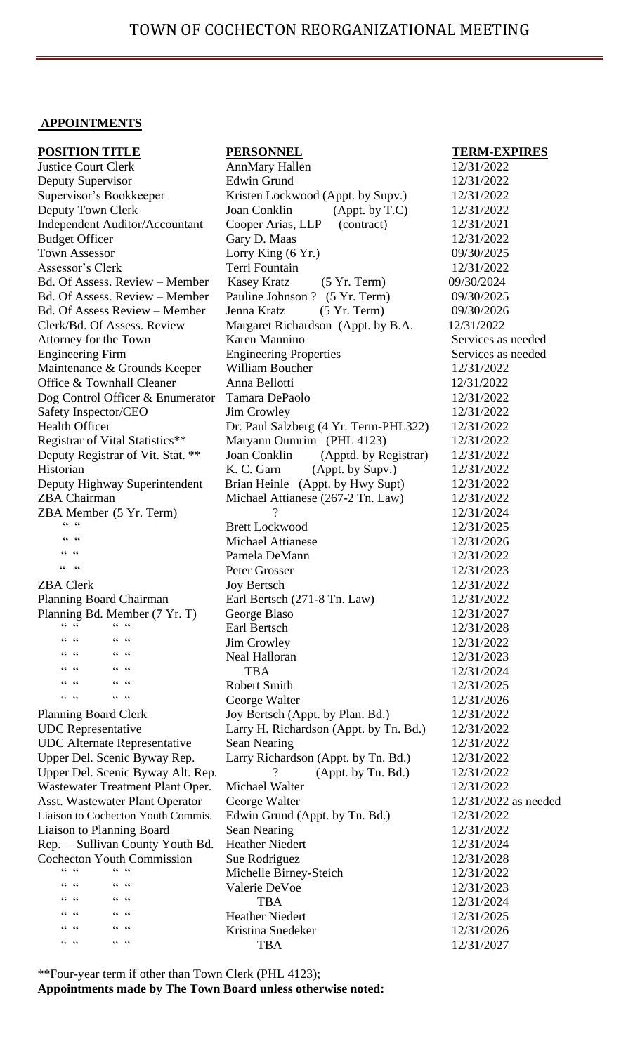## **APPOINTMENTS**

| <b>POSITION TITLE</b>                          | <b>PERSONNEL</b>                       |
|------------------------------------------------|----------------------------------------|
| <b>Justice Court Clerk</b>                     | <b>AnnMary Hallen</b>                  |
| Deputy Supervisor                              | <b>Edwin Grund</b>                     |
| Supervisor's Bookkeeper                        | Kristen Lockwood (Appt. by Supv.)      |
| Deputy Town Clerk                              | Joan Conklin<br>$(A$ ppt. by $T.C)$    |
| <b>Independent Auditor/Accountant</b>          | Cooper Arias, LLP (contract)           |
| <b>Budget Officer</b>                          | Gary D. Maas                           |
| <b>Town Assessor</b>                           | Lorry King $(6 \text{Yr.})$            |
| Assessor's Clerk                               | Terri Fountain                         |
| Bd. Of Assess. Review – Member                 | Kasey Kratz<br>$(5 \text{ Yr. Term})$  |
| Bd. Of Assess. Review – Member                 | Pauline Johnson ? (5 Yr. Term)         |
| <b>Bd. Of Assess Review – Member</b>           | Jenna Kratz<br>$(5 \text{Yr. Term})$   |
| Clerk/Bd. Of Assess. Review                    | Margaret Richardson (Appt. by B.A.     |
| Attorney for the Town                          | Karen Mannino                          |
| <b>Engineering Firm</b>                        | <b>Engineering Properties</b>          |
| Maintenance & Grounds Keeper                   | William Boucher                        |
| Office & Townhall Cleaner                      | Anna Bellotti                          |
| Dog Control Officer & Enumerator               | Tamara DePaolo                         |
| Safety Inspector/CEO                           | Jim Crowley                            |
| <b>Health Officer</b>                          | Dr. Paul Salzberg (4 Yr. Term-PHL322)  |
|                                                | Maryann Oumrim (PHL 4123)              |
| Registrar of Vital Statistics**                | Joan Conklin                           |
| Deputy Registrar of Vit. Stat. **<br>Historian | (Apptd. by Registrar)                  |
|                                                | K. C. Garn<br>(Appt. by Supv.)         |
| Deputy Highway Superintendent                  | Brian Heinle (Appt. by Hwy Supt)       |
| <b>ZBA Chairman</b>                            | Michael Attianese (267-2 Tn. Law)<br>? |
| ZBA Member (5 Yr. Term)                        |                                        |
| $66 - 66$                                      | <b>Brett Lockwood</b>                  |
| $66 - 66$                                      | <b>Michael Attianese</b>               |
| $66 - 66$                                      | Pamela DeMann                          |
|                                                | Peter Grosser                          |
| <b>ZBA Clerk</b>                               | <b>Joy Bertsch</b>                     |
| Planning Board Chairman                        | Earl Bertsch (271-8 Tn. Law)           |
| Planning Bd. Member (7 Yr. T)                  | George Blaso                           |
| $66 - 66$<br>$66 - 66$                         | Earl Bertsch                           |
| 66<br>6666<br>66                               | <b>Jim Crowley</b>                     |
| $66 - 66$<br>66<br>66                          | <b>Neal Halloran</b>                   |
| $66 - 66$<br>66<br>66                          | <b>TBA</b>                             |
| 66<br>$66 - 66$<br>$\zeta \, \zeta$            | <b>Robert Smith</b>                    |
| $66 - 66$<br>$66 - 66$                         | George Walter                          |
| <b>Planning Board Clerk</b>                    | Joy Bertsch (Appt. by Plan. Bd.)       |
| <b>UDC</b> Representative                      | Larry H. Richardson (Appt. by Tn. Bd.) |
| <b>UDC</b> Alternate Representative            | <b>Sean Nearing</b>                    |
| Upper Del. Scenic Byway Rep.                   | Larry Richardson (Appt. by Tn. Bd.)    |
| Upper Del. Scenic Byway Alt. Rep.              | ?<br>(Appt. by Tn. Bd.)                |
| Wastewater Treatment Plant Oper.               | Michael Walter                         |
| Asst. Wastewater Plant Operator                | George Walter                          |
| Liaison to Cochecton Youth Commis.             | Edwin Grund (Appt. by Tn. Bd.)         |
| Liaison to Planning Board                      | <b>Sean Nearing</b>                    |
| Rep. - Sullivan County Youth Bd.               | <b>Heather Niedert</b>                 |
| <b>Cochecton Youth Commission</b>              | Sue Rodriguez                          |
| $66 - 66$<br>$CC$ $CC$                         | Michelle Birney-Steich                 |
| $66 - 66$<br>66<br>66                          | Valerie DeVoe                          |
| $66 - 66$<br>66<br>66                          | <b>TBA</b>                             |
| 66<br>$66 - 66$<br>66                          | <b>Heather Niedert</b>                 |
| $66 - 66$<br>66<br>66                          | Kristina Snedeker                      |
| $66 - 66$<br>$66 - 66$                         | <b>TBA</b>                             |
|                                                |                                        |

### $TERM-EXPIRES$

12/31/2022 Deputy Supervisor Edwin Grund 12/31/2022 Supervisor's Bookkeeper Kristen Lockwood (Appt. by Supv.) 12/31/2022 12/31/2022 12/31/2021 12/31/2022 09/30/2025 Assessor's Clerk Terri Fountain 12/31/2022 09/30/2024 09/30/2025 09/30/2026 12/31/2022 Services as needed Services as needed 12/31/2022 Office & Townhall Cleaner Anna Bellotti 12/31/2022 Dog Control Officer & Enumerator Tamara DePaolo 12/31/2022 Safety Inspector/CEO Jim Crowley 12/31/2022 Health Officer Dr. Paul Salzberg (4 Yr. Term-PHL322) 12/31/2022 12/31/2022 12/31/2022 12/31/2022 Deputy Highway Superintendent Brian Heinle (Appt. by Hwy Supt) 12/31/2022  $12/31/2022$ 12/31/2024 12/31/2025 12/31/2026 12/31/2022 12/31/2023 12/31/2022 Planning Board Chairman Earl Bertsch (271-8 Tn. Law) 12/31/2022 Planning Bd. Member (7 Yr. T) George Blaso 12/31/2027 12/31/2028 12/31/2022  $12/31/2023$ 12/31/2024 12/31/2025 12/31/2026 Planning Board Clerk Joy Bertsch (Appt. by Plan. Bd.) 12/31/2022 12/31/2022 12/31/2022 12/31/2022 12/31/2022 12/31/2022 12/31/2022 as needed Liaison to Cochecton Youth Commis. Edwin Grund (Appt. by Tn. Bd.) 12/31/2022 Liaison to Planning Board Sean Nearing 12/31/2022 Rep. – Sullivan County Youth Bd. Heather Niedert 12/31/2024 Cochecton Youth Commission Sue Rodriguez 12/31/2028 12/31/2022 12/31/2023 12/31/2024 12/31/2025 12/31/2026 12/31/2027

\*\*Four-year term if other than Town Clerk (PHL 4123); **Appointments made by The Town Board unless otherwise noted:**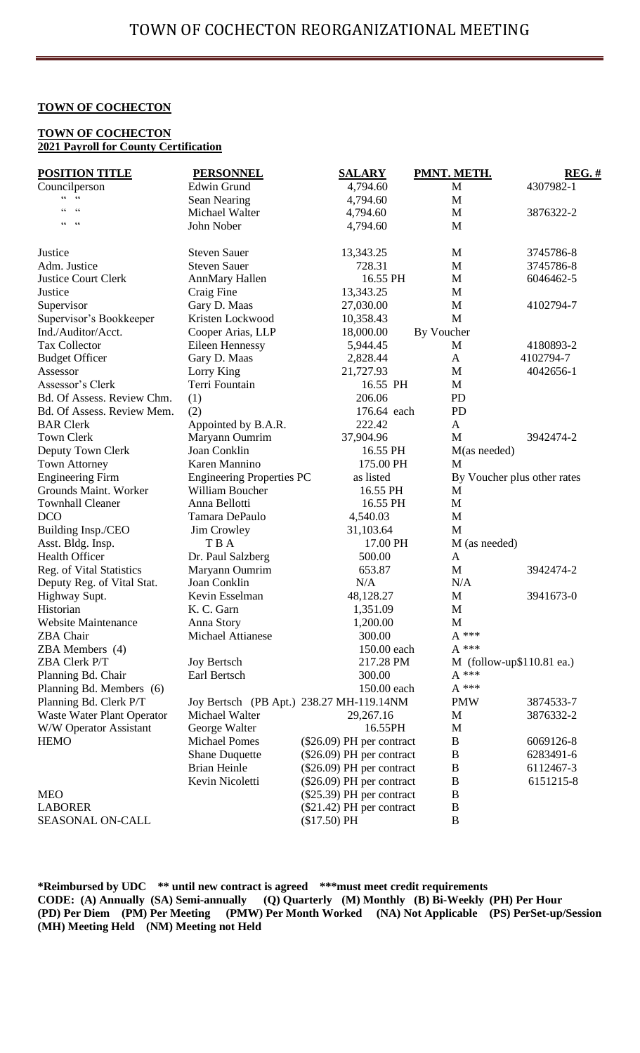### **TOWN OF COCHECTON**

### **TOWN OF COCHECTON 2021 Payroll for County Certification**

| <b>POSITION TITLE</b>                            | <b>PERSONNEL</b>                 | <b>SALARY</b>                            | PMNT. METH.      | $REG.$ #                    |
|--------------------------------------------------|----------------------------------|------------------------------------------|------------------|-----------------------------|
| Councilperson                                    | <b>Edwin Grund</b>               | 4,794.60                                 | M                | 4307982-1                   |
| $\zeta$ $\zeta$<br>$\mbox{\bf 6}$ $\mbox{\bf 6}$ | Sean Nearing                     | 4,794.60                                 | M                |                             |
| $\zeta \zeta$<br>66                              | Michael Walter                   | 4,794.60                                 | M                | 3876322-2                   |
| 66<br>66                                         | John Nober                       | 4,794.60                                 | M                |                             |
| Justice                                          | <b>Steven Sauer</b>              | 13,343.25                                | M                | 3745786-8                   |
| Adm. Justice                                     | <b>Steven Sauer</b>              | 728.31                                   | M                | 3745786-8                   |
| <b>Justice Court Clerk</b>                       | <b>AnnMary Hallen</b>            | 16.55 PH                                 | M                | 6046462-5                   |
| Justice                                          | Craig Fine                       | 13,343.25                                | M                |                             |
| Supervisor                                       | Gary D. Maas                     | 27,030.00                                | M                | 4102794-7                   |
| Supervisor's Bookkeeper                          | Kristen Lockwood                 | 10,358.43                                | M                |                             |
| Ind./Auditor/Acct.                               | Cooper Arias, LLP                | 18,000.00                                | By Voucher       |                             |
| <b>Tax Collector</b>                             | Eileen Hennessy                  | 5,944.45                                 | M                | 4180893-2                   |
| <b>Budget Officer</b>                            | Gary D. Maas                     | 2,828.44                                 | A                | 4102794-7                   |
| Assessor                                         | Lorry King                       | 21,727.93                                | M                | 4042656-1                   |
| Assessor's Clerk                                 | Terri Fountain                   | 16.55 PH                                 | M                |                             |
| Bd. Of Assess. Review Chm.                       | (1)                              | 206.06                                   | <b>PD</b>        |                             |
| Bd. Of Assess. Review Mem.                       | (2)                              | 176.64 each                              | PD               |                             |
| <b>BAR Clerk</b>                                 | Appointed by B.A.R.              | 222.42                                   | $\mathbf{A}$     |                             |
| <b>Town Clerk</b>                                | Maryann Oumrim                   | 37,904.96                                | M                | 3942474-2                   |
| Deputy Town Clerk                                | Joan Conklin                     | 16.55 PH                                 | M(as needed)     |                             |
| <b>Town Attorney</b>                             | Karen Mannino                    | 175.00 PH                                | M                |                             |
| <b>Engineering Firm</b>                          | <b>Engineering Properties PC</b> | as listed                                |                  | By Voucher plus other rates |
| Grounds Maint. Worker                            | William Boucher                  | 16.55 PH                                 | M                |                             |
| <b>Townhall Cleaner</b>                          | Anna Bellotti                    | 16.55 PH                                 | M                |                             |
| <b>DCO</b>                                       | Tamara DePaulo                   | 4,540.03                                 | M                |                             |
| Building Insp./CEO                               | Jim Crowley                      | 31,103.64                                | M                |                             |
| Asst. Bldg. Insp.                                | T B A                            | 17.00 PH                                 | M (as needed)    |                             |
| Health Officer                                   | Dr. Paul Salzberg                | 500.00                                   | A                |                             |
| Reg. of Vital Statistics                         | Maryann Oumrim                   | 653.87                                   | M                | 3942474-2                   |
| Deputy Reg. of Vital Stat.                       | Joan Conklin                     | N/A                                      | N/A              |                             |
| Highway Supt.                                    | Kevin Esselman                   | 48,128.27                                | M                | 3941673-0                   |
| Historian                                        | K. C. Garn                       | 1,351.09                                 | M                |                             |
| <b>Website Maintenance</b>                       | Anna Story                       | 1,200.00                                 | M                |                             |
| <b>ZBA</b> Chair                                 | Michael Attianese                | 300.00                                   | $A***$           |                             |
| ZBA Members (4)                                  |                                  | 150.00 each                              | $A***$           |                             |
| ZBA Clerk P/T                                    | <b>Joy Bertsch</b>               | 217.28 PM                                |                  | M (follow-up\$110.81 ea.)   |
| Planning Bd. Chair                               | Earl Bertsch                     | 300.00                                   | $\mathrm{A}$ *** |                             |
| Planning Bd. Members (6)                         |                                  | 150.00 each                              | $\mathrm{A}$ *** |                             |
| Planning Bd. Clerk P/T                           |                                  | Joy Bertsch (PB Apt.) 238.27 MH-119.14NM | <b>PMW</b>       | 3874533-7                   |
| Waste Water Plant Operator                       | Michael Walter                   | 29,267.16                                | M                | 3876332-2                   |
| W/W Operator Assistant                           | George Walter                    | 16.55PH                                  | M                |                             |
| <b>HEMO</b>                                      | <b>Michael Pomes</b>             | $(\$26.09)$ PH per contract              | B                | 6069126-8                   |
|                                                  | <b>Shane Duquette</b>            | $(\$26.09)$ PH per contract              | B                | 6283491-6                   |
|                                                  | <b>Brian Heinle</b>              | $(\$26.09)$ PH per contract              | B                | 6112467-3                   |
|                                                  | Kevin Nicoletti                  | $(\$26.09)$ PH per contract              | $\bf{B}$         | 6151215-8                   |
| <b>MEO</b>                                       |                                  | $(\$25.39)$ PH per contract              | $\bf{B}$         |                             |
| <b>LABORER</b>                                   |                                  | $(\$21.42)$ PH per contract              | $\bf{B}$         |                             |
| SEASONAL ON-CALL                                 |                                  | (\$17.50) PH                             | $\bf{B}$         |                             |

**\*Reimbursed by UDC \*\* until new contract is agreed \*\*\*must meet credit requirements CODE: (A) Annually (SA) Semi-annually (Q) Quarterly (M) Monthly (B) Bi-Weekly (PH) Per Hour (PD) Per Diem (PM) Per Meeting (PMW) Per Month Worked (NA) Not Applicable (PS) PerSet-up/Session (MH) Meeting Held (NM) Meeting not Held**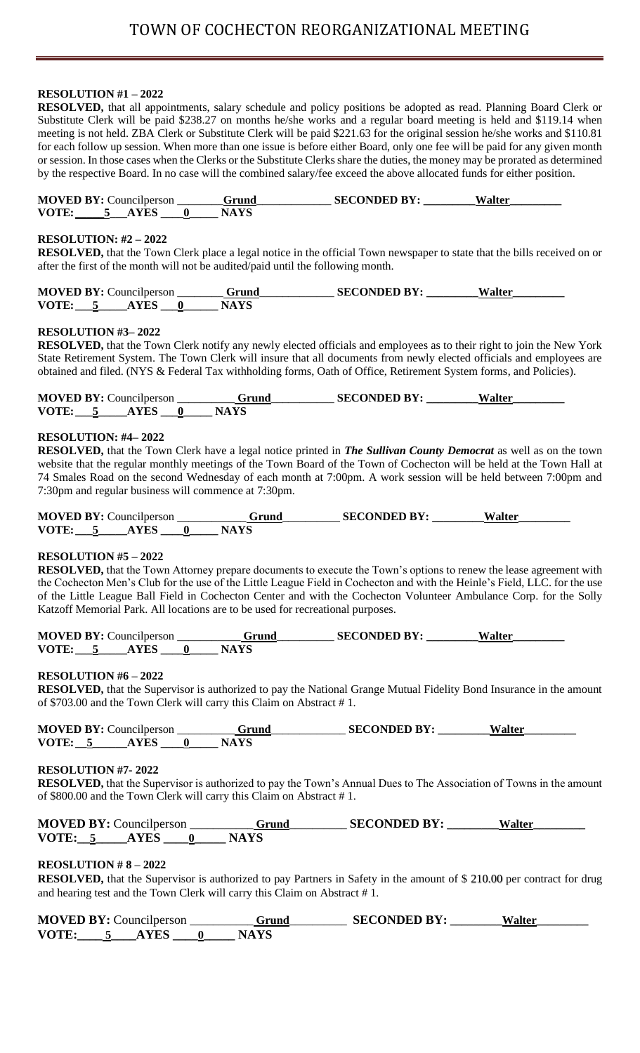# **RESOLUTION #1 – 2022**

**RESOLVED,** that all appointments, salary schedule and policy positions be adopted as read. Planning Board Clerk or Substitute Clerk will be paid \$238.27 on months he/she works and a regular board meeting is held and \$119.14 when meeting is not held. ZBA Clerk or Substitute Clerk will be paid \$221.63 for the original session he/she works and \$110.81 for each follow up session. When more than one issue is before either Board, only one fee will be paid for any given month or session. In those cases when the Clerks or the Substitute Clerks share the duties, the money may be prorated as determined by the respective Board. In no case will the combined salary/fee exceed the above allocated funds for either position.

|       | <b>MOVED BY: Councilperson</b> | Grund       | <b>SECONDED BY:</b> | Walter |
|-------|--------------------------------|-------------|---------------------|--------|
| VOTE: | <b>AYES</b>                    | <b>NAYS</b> |                     |        |

## **RESOLUTION: #2 – 2022**

**RESOLVED,** that the Town Clerk place a legal notice in the official Town newspaper to state that the bills received on or after the first of the month will not be audited/paid until the following month.

| <b>MOVED BY: Councilperson</b> | Grund | <b>SECONDED BY:</b> | Walter |
|--------------------------------|-------|---------------------|--------|
| VOTE:                          | NА    |                     |        |

### **RESOLUTION #3– 2022**

**RESOLVED,** that the Town Clerk notify any newly elected officials and employees as to their right to join the New York State Retirement System. The Town Clerk will insure that all documents from newly elected officials and employees are obtained and filed. (NYS & Federal Tax withholding forms, Oath of Office, Retirement System forms, and Policies).

|       | <b>MOVED BY: Councilperson</b> | Grund | <b>SECONDED BY:</b> | Walter |
|-------|--------------------------------|-------|---------------------|--------|
| VOTE: |                                | NAY.  |                     |        |

### **RESOLUTION: #4– 2022**

**RESOLVED,** that the Town Clerk have a legal notice printed in *The Sullivan County Democrat* as well as on the town website that the regular monthly meetings of the Town Board of the Town of Cochecton will be held at the Town Hall at 74 Smales Road on the second Wednesday of each month at 7:00pm. A work session will be held between 7:00pm and 7:30pm and regular business will commence at 7:30pm.

|       | <b>MOVED BY: Councilperson</b> | Grund | <b>SECONDED BY:</b> | Walter |
|-------|--------------------------------|-------|---------------------|--------|
| VOTE: | <b>YES</b>                     |       |                     |        |

### **RESOLUTION #5 – 2022**

**RESOLVED,** that the Town Attorney prepare documents to execute the Town's options to renew the lease agreement with the Cochecton Men's Club for the use of the Little League Field in Cochecton and with the Heinle's Field, LLC. for the use of the Little League Ball Field in Cochecton Center and with the Cochecton Volunteer Ambulance Corp. for the Solly Katzoff Memorial Park. All locations are to be used for recreational purposes.

|       | <b>MOVED BY: Councilperson</b> | Grund | <b>SECONDED BY:</b> | Walter |
|-------|--------------------------------|-------|---------------------|--------|
| VOTE: | <b>AYES</b>                    | NAYS  |                     |        |

### **RESOLUTION #6 – 2022**

**RESOLVED,** that the Supervisor is authorized to pay the National Grange Mutual Fidelity Bond Insurance in the amount of \$703.00 and the Town Clerk will carry this Claim on Abstract # 1.

| <b>MOVED BY: Councilperson</b> | Grund | <b>SECONDED BY:</b> | Walter |
|--------------------------------|-------|---------------------|--------|
| VOTE:<br><b>AYES</b>           |       |                     |        |

### **RESOLUTION #7- 2022**

**RESOLVED,** that the Supervisor is authorized to pay the Town's Annual Dues to The Association of Towns in the amount of \$800.00 and the Town Clerk will carry this Claim on Abstract # 1.

| <b>MOVED BY: Councilperson</b> | Grund | <b>SECONDED BY:</b> | Walter |
|--------------------------------|-------|---------------------|--------|
| VOTE:<br><b>AYES</b>           |       |                     |        |

# **REOSLUTION # 8 – 2022**

**RESOLVED,** that the Supervisor is authorized to pay Partners in Safety in the amount of \$ 210.00 per contract for drug and hearing test and the Town Clerk will carry this Claim on Abstract # 1.

|       | <b>MOVED BY: Councilperson</b> | Grund | <b>SECONDED BY:</b> | Walter |
|-------|--------------------------------|-------|---------------------|--------|
| VOTE: |                                | NAYS  |                     |        |